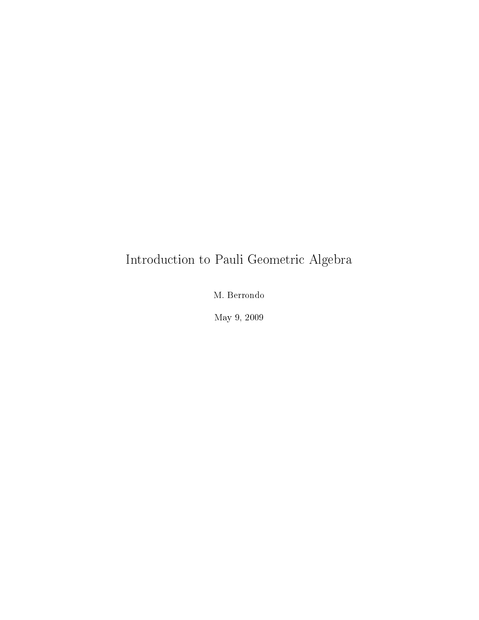## Introduction to Pauli Geometric Algebra

M. Berrondo

May 9, 2009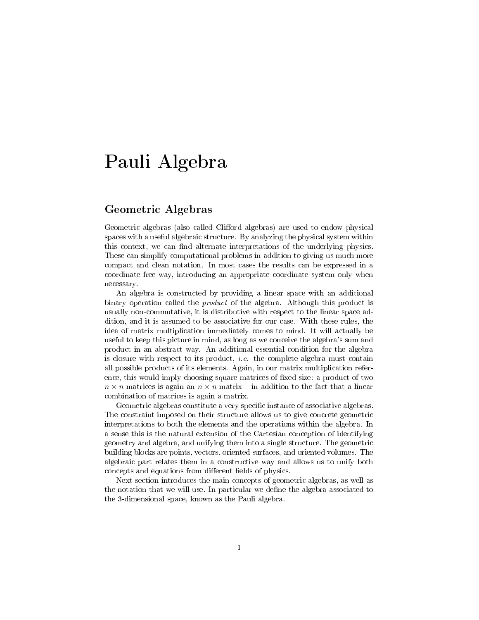# Pauli Algebra

#### Geometric Algebras

Geometric algebras (also called Clifford algebras) are used to endow physical spaces with a useful algebraic structure. By analyzing the physical system within this context, we can find alternate interpretations of the underlying physics. These can simplify computational problems in addition to giving us much more compact and clean notation. In most cases the results can be expressed in a coordinate free way, introducing an appropriate coordinate system only when necessary.

An algebra is constructed by providing a linear space with an additional binary operation called the *product* of the algebra. Although this product is usually non-commutative, it is distributive with respect to the linear space addition, and it is assumed to be associative for our case. With these rules, the idea of matrix multiplication immediately comes to mind. It will actually be useful to keep this picture in mind, as long as we conceive the algebra's sum and product in an abstract way. An additional essential condition for the algebra is closure with respect to its product, *i.e.* the complete algebra must contain all possible products of its elements. Again, in our matrix multiplication reference, this would imply choosing square matrices of fixed size: a product of two  $n \times n$  matrices is again an  $n \times n$  matrix – in addition to the fact that a linear combination of matrices is again a matrix.

Geometric algebras constitute a very specific instance of associative algebras. The constraint imposed on their structure allows us to give concrete geometric interpretations to both the elements and the operations within the algebra. In a sense this is the natural extension of the Cartesian conception of identifying geometry and algebra, and unifying them into a single structure. The geometric building blocks are points, vectors, oriented surfaces, and oriented volumes. The algebraic part relates them in a constructive way and allows us to unify both concepts and equations from different fields of physics.

Next section introduces the main concepts of geometric algebras, as well as the notation that we will use. In particular we define the algebra associated to the 3-dimensional space, known as the Pauli algebra.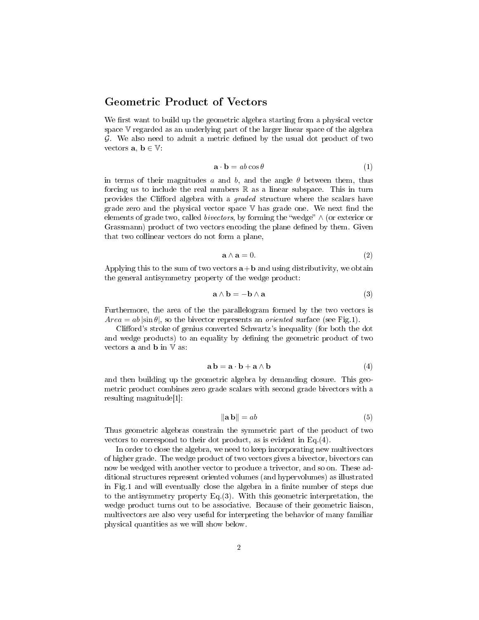#### Geometric Product of Vectors

We first want to build up the geometric algebra starting from a physical vector space V regarded as an underlying part of the larger linear space of the algebra  $\mathcal G$ . We also need to admit a metric defined by the usual dot product of two vectors  $\mathbf{a}, \mathbf{b} \in \mathbb{V}$ .

$$
\mathbf{a} \cdot \mathbf{b} = ab \cos \theta \tag{1}
$$

in terms of their magnitudes a and b, and the angle  $\theta$  between them, thus forcing us to include the real numbers  $\mathbb R$  as a linear subspace. This in turn provides the Clifford algebra with a *graded* structure where the scalars have grade zero and the physical vector space  $V$  has grade one. We next find the elements of grade two, called *bivectors*, by forming the "wedge"  $\wedge$  (or exterior or Grassmann) product of two vectors encoding the plane defined by them. Given that two collinear vectors do not form a plane,

$$
\mathbf{a} \wedge \mathbf{a} = 0. \tag{2}
$$

Applying this to the sum of two vectors  $a+b$  and using distributivity, we obtain the general antisymmetry property of the wedge product:

$$
\mathbf{a} \wedge \mathbf{b} = -\mathbf{b} \wedge \mathbf{a} \tag{3}
$$

Furthermore, the area of the the parallelogram formed by the two vectors is  $Area = ab |\sin \theta|$ , so the bivector represents an *oriented* surface (see Fig.1).

Clifford's stroke of genius converted Schwartz's inequality (for both the dot and wedge products) to an equality by dening the geometric product of two vectors **a** and **b** in  $\nabla$  as:

$$
\mathbf{a}\,\mathbf{b} = \mathbf{a}\cdot\mathbf{b} + \mathbf{a}\wedge\mathbf{b} \tag{4}
$$

and then building up the geometric algebra by demanding closure. This geometric product combines zero grade scalars with second grade bivectors with a resulting magnitude[1]:

$$
\|\mathbf{a}\,\mathbf{b}\| = ab \tag{5}
$$

Thus geometric algebras constrain the symmetric part of the product of two vectors to correspond to their dot product, as is evident in Eq.(4).

In order to close the algebra, we need to keep incorporating new multivectors of higher grade. The wedge product of two vectors gives a bivector, bivectors can now be wedged with another vector to produce a trivector, and so on. These additional structures represent oriented volumes (and hypervolumes) as illustrated in Fig.1 and will eventually close the algebra in a finite number of steps due to the antisymmetry property Eq.(3). With this geometric interpretation, the wedge product turns out to be associative. Because of their geometric liaison, multivectors are also very useful for interpreting the behavior of many familiar physical quantities as we will show below.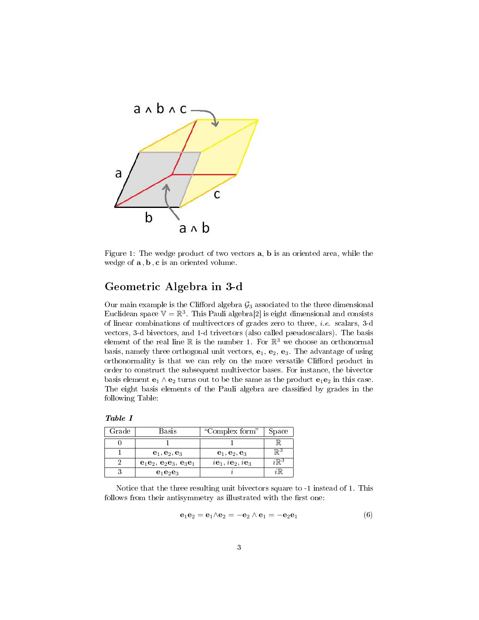

Figure 1: The wedge product of two vectors a, b is an oriented area, while the wedge of  $\mathbf{a}, \mathbf{b}, \mathbf{c}$  is an oriented volume.

#### Geometric Algebra in 3-d

Our main example is the Clifford algebra  $G_3$  associated to the three dimensional Euclidean space  $V = \mathbb{R}^3$ . This Pauli algebra<sup>[2]</sup> is eight dimensional and consists of linear combinations of multivectors of grades zero to three, i.e. scalars, 3-d vectors, 3-d bivectors, and 1-d trivectors (also called pseudoscalars). The basis element of the real line  $\mathbb R$  is the number 1. For  $\mathbb R^3$  we choose an orthonormal basis, namely three orthogonal unit vectors,  $e_1$ ,  $e_2$ ,  $e_3$ . The advantage of using orthonormality is that we can rely on the more versatile Clifford product in order to construct the subsequent multivector bases. For instance, the bivector basis element  $e_1 \wedge e_2$  turns out to be the same as the product  $e_1e_2$  in this case. The eight basis elements of the Pauli algebra are classified by grades in the following Table:

| $\lq$ rade | <b>Basis</b>             | "Complex form"                                | Space |
|------------|--------------------------|-----------------------------------------------|-------|
|            |                          |                                               |       |
|            | $e_1, e_2, e_3$          | $\mathbf{e}_1, \mathbf{e}_2, \mathbf{e}_3$    | ∏⊋ა   |
|            | $e_1e_2, e_2e_3, e_3e_1$ | $i\mathbf{e}_1, i\mathbf{e}_2, i\mathbf{e}_3$ |       |
|            | $e_1e_2e_3$              |                                               |       |
|            |                          |                                               |       |

Notice that the three resulting unit bivectors square to -1 instead of 1. This follows from their antisymmetry as illustrated with the first one:

$$
\mathbf{e}_1 \mathbf{e}_2 = \mathbf{e}_1 \wedge \mathbf{e}_2 = -\mathbf{e}_2 \wedge \mathbf{e}_1 = -\mathbf{e}_2 \mathbf{e}_1 \tag{6}
$$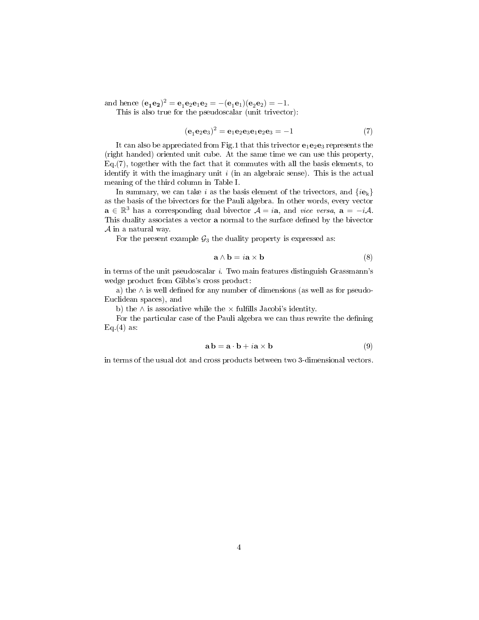and hence  $({\bf e_1 e_2})^2 = {\bf e_1 e_2 e_1 e_2} = -({\bf e_1 e_1})({\bf e_2 e_2}) = -1.$ 

This is also true for the pseudoscalar (unit trivector):

$$
({\bf e}_1 {\bf e}_2 {\bf e}_3)^2 = {\bf e}_1 {\bf e}_2 {\bf e}_3 {\bf e}_1 {\bf e}_2 {\bf e}_3 = -1 \tag{7}
$$

It can also be appreciated from Fig.1 that this trivector  $e_1e_2e_3$  represents the (right handed) oriented unit cube. At the same time we can use this property, Eq.(7), together with the fact that it commutes with all the basis elements, to identify it with the imaginary unit  $i$  (in an algebraic sense). This is the actual meaning of the third column in Table I.

In summary, we can take i as the basis element of the trivectors, and  $\{i\mathbf{e}_k\}$ as the basis of the bivectors for the Pauli algebra. In other words, every vector  $\mathbf{a} \in \mathbb{R}^3$  has a corresponding dual bivector  $\mathcal{A} = i\mathbf{a}$ , and vice versa,  $\mathbf{a} = -i\mathcal{A}$ . This duality associates a vector **a** normal to the surface defined by the bivector  $A$  in a natural way.

For the present example  $G_3$  the duality property is expressed as:

$$
\mathbf{a} \wedge \mathbf{b} = i\mathbf{a} \times \mathbf{b} \tag{8}
$$

in terms of the unit pseudoscalar i. Two main features distinguish Grassmann's wedge product from Gibbs's cross product:

a) the  $\wedge$  is well defined for any number of dimensions (as well as for pseudo-Euclidean spaces), and

b) the  $\land$  is associative while the  $\times$  fulfills Jacobi's identity.

For the particular case of the Pauli algebra we can thus rewrite the defining Eq. $(4)$  as:

$$
\mathbf{a}\,\mathbf{b} = \mathbf{a}\cdot\mathbf{b} + i\mathbf{a} \times \mathbf{b} \tag{9}
$$

in terms of the usual dot and cross products between two 3-dimensional vectors.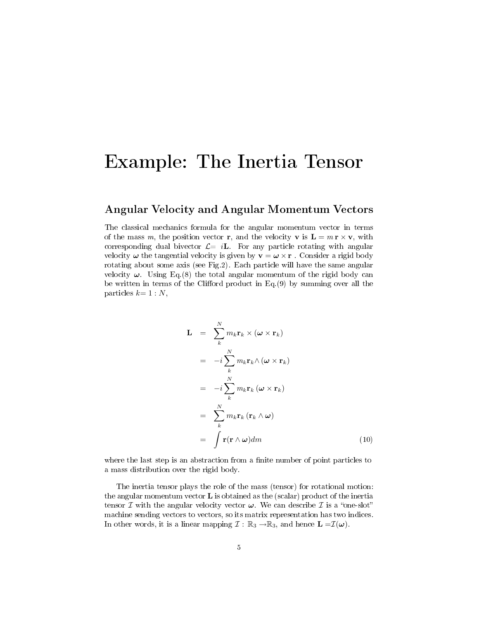### Example: The Inertia Tensor

#### Angular Velocity and Angular Momentum Vectors

The classical mechanics formula for the angular momentum vector in terms of the mass m, the position vector r, and the velocity v is  $\mathbf{L} = m \mathbf{r} \times \mathbf{v}$ , with corresponding dual bivector  $\mathcal{L}=i\mathbf{L}$ . For any particle rotating with angular velocity  $\omega$  the tangential velocity is given by  $\mathbf{v} = \omega \times \mathbf{r}$ . Consider a rigid body rotating about some axis (see Fig.2). Each particle will have the same angular velocity  $\omega$ . Using Eq.(8) the total angular momentum of the rigid body can be written in terms of the Clifford product in Eq. $(9)$  by summing over all the particles  $k=1:N$ ,

$$
\mathbf{L} = \sum_{k}^{N} m_{k} \mathbf{r}_{k} \times (\boldsymbol{\omega} \times \mathbf{r}_{k})
$$
  
\n
$$
= -i \sum_{k}^{N} m_{k} \mathbf{r}_{k} \wedge (\boldsymbol{\omega} \times \mathbf{r}_{k})
$$
  
\n
$$
= -i \sum_{k}^{N} m_{k} \mathbf{r}_{k} (\boldsymbol{\omega} \times \mathbf{r}_{k})
$$
  
\n
$$
= \sum_{k}^{N} m_{k} \mathbf{r}_{k} (\mathbf{r}_{k} \wedge \boldsymbol{\omega})
$$
  
\n
$$
= \int_{0}^{N} \mathbf{r} (\mathbf{r} \wedge \boldsymbol{\omega}) dm
$$
 (10)

where the last step is an abstraction from a finite number of point particles to a mass distribution over the rigid body.

The inertia tensor plays the role of the mass (tensor) for rotational motion: the angular momentum vector  $\bf{L}$  is obtained as the (scalar) product of the inertia tensor  $\mathcal I$  with the angular velocity vector  $\boldsymbol{\omega}$ . We can describe  $\mathcal I$  is a "one-slot" machine sending vectors to vectors, so its matrix representation has two indices. In other words, it is a linear mapping  $\mathcal{I}: \mathbb{R}_3 \to \mathbb{R}_3$ , and hence  $\mathbf{L} = \mathcal{I}(\boldsymbol{\omega})$ .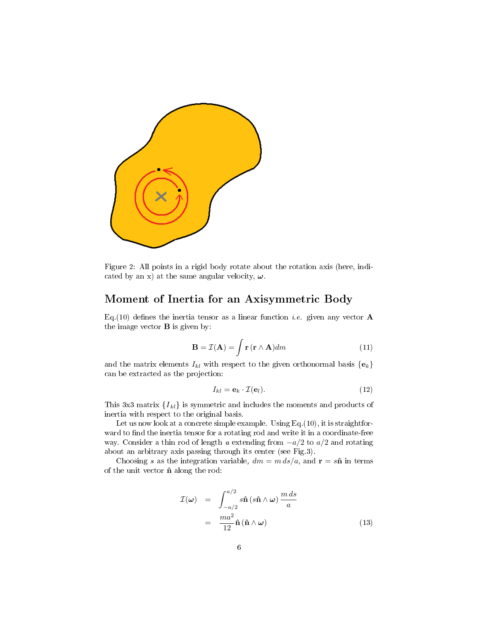

Figure 2: All points in a rigid body rotate about the rotation axis (here, indicated by an x) at the same angular velocity,  $\omega$ .

#### Moment of Inertia for an Axisymmetric Body

Eq.(10) defines the inertia tensor as a linear function *i.e.* given any vector **A** the image vector  $\bf{B}$  is given by:

$$
\mathbf{B} = \mathcal{I}(\mathbf{A}) = \int \mathbf{r} \left( \mathbf{r} \wedge \mathbf{A} \right) dm \tag{11}
$$

and the matrix elements  $I_{kl}$  with respect to the given orthonormal basis  $\{e_k\}$ can be extracted as the projection:

$$
I_{kl} = \mathbf{e}_k \cdot \mathcal{I}(\mathbf{e}_l). \tag{12}
$$

This 3x3 matrix  ${I_{kl}}$  is symmetric and includes the moments and products of inertia with respect to the original basis.

Let us now look at a concrete simple example. Using Eq. (10), it is straightforward to find the inertia tensor for a rotating rod and write it in a coordinate-free way. Consider a thin rod of length a extending from  $-a/2$  to  $a/2$  and rotating about an arbitrary axis passing through its center (see Fig.3).

Choosing s as the integration variable,  $dm = m ds/a$ , and  $\mathbf{r} = s\hat{\mathbf{n}}$  in terms of the unit vector  $\hat{\mathbf{n}}$  along the rod:

$$
\mathcal{I}(\omega) = \int_{-a/2}^{a/2} s \hat{\mathbf{n}} (s \hat{\mathbf{n}} \wedge \omega) \frac{m ds}{a}
$$

$$
= \frac{m a^2}{12} \hat{\mathbf{n}} (\hat{\mathbf{n}} \wedge \omega)
$$
(13)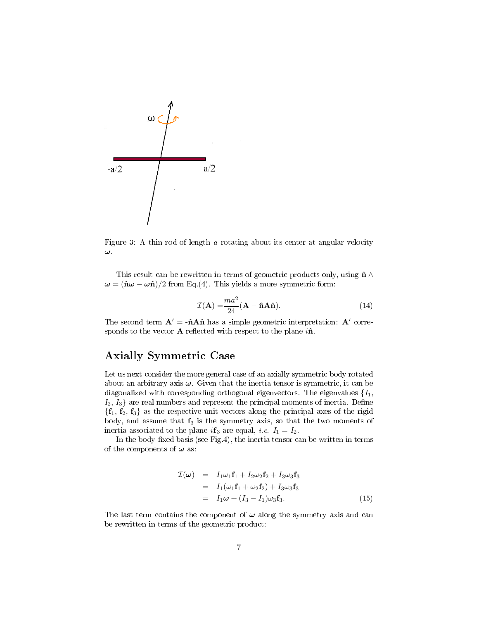

Figure 3: A thin rod of length a rotating about its center at angular velocity ω.

This result can be rewritten in terms of geometric products only, using  $\hat{\mathbf{n}} \wedge \mathbf{z}$  $\omega = (\hat{\mathbf{n}}\omega - \omega \hat{\mathbf{n}})/2$  from Eq.(4). This yields a more symmetric form:

$$
\mathcal{I}(\mathbf{A}) = \frac{ma^2}{24} (\mathbf{A} - \hat{\mathbf{n}} \mathbf{A} \hat{\mathbf{n}}).
$$
 (14)

The second term  $A' = -\hat{n}A\hat{n}$  has a simple geometric interpretation:  $A'$  corresponds to the vector  ${\bf A}$  reflected with respect to the plane  $i{\bf \hat{n}}.$ 

#### Axially Symmetric Case

Let us next consider the more general case of an axially symmetric body rotated about an arbitrary axis  $\omega$ . Given that the inertia tensor is symmetric, it can be diagonalized with corresponding orthogonal eigenvectors. The eigenvalues  $\{I_1,$  $I_2, I_3$  are real numbers and represent the principal moments of inertia. Define  ${f_1, f_2, f_3}$  as the respective unit vectors along the principal axes of the rigid body, and assume that  $f_3$  is the symmetry axis, so that the two moments of inertia associated to the plane if 3 are equal, i.e.  $I_1 = I_2$ .

In the body-fixed basis (see Fig.4), the inertia tensor can be written in terms of the components of  $\omega$  as:

$$
\mathcal{I}(\omega) = I_1 \omega_1 \mathbf{f}_1 + I_2 \omega_2 \mathbf{f}_2 + I_3 \omega_3 \mathbf{f}_3
$$
  
\n
$$
= I_1(\omega_1 \mathbf{f}_1 + \omega_2 \mathbf{f}_2) + I_3 \omega_3 \mathbf{f}_3
$$
  
\n
$$
= I_1 \omega + (I_3 - I_1) \omega_3 \mathbf{f}_3.
$$
 (15)

The last term contains the component of  $\omega$  along the symmetry axis and can be rewritten in terms of the geometric product: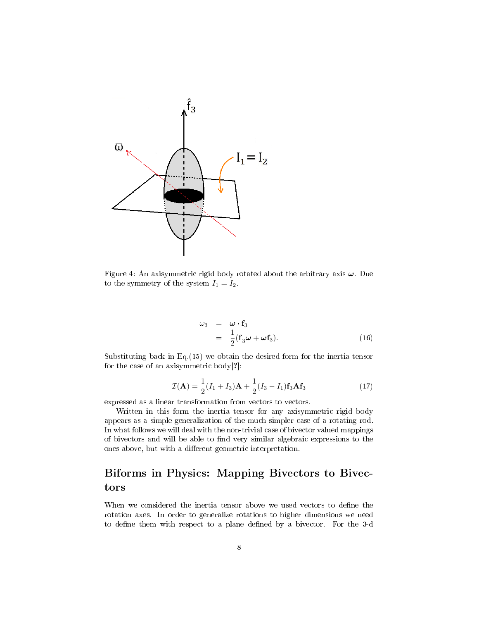

Figure 4: An axisymmetric rigid body rotated about the arbitrary axis  $\omega$ . Due to the symmetry of the system  $I_1 = I_2$ .

$$
\begin{array}{rcl}\n\omega_3 & = & \omega \cdot \mathbf{f}_3 \\
& = & \frac{1}{2} (\mathbf{f}_3 \omega + \omega \mathbf{f}_3).\n\end{array} \tag{16}
$$

Substituting back in Eq.(15) we obtain the desired form for the inertia tensor for the case of an axisymmetric body[?]:

$$
\mathcal{I}(\mathbf{A}) = \frac{1}{2}(I_1 + I_3)\mathbf{A} + \frac{1}{2}(I_3 - I_1)\mathbf{f}_3\mathbf{A}\mathbf{f}_3
$$
\n(17)

expressed as a linear transformation from vectors to vectors.

Written in this form the inertia tensor for any axisymmetric rigid body appears as a simple generalization of the much simpler case of a rotating rod. In what follows we will deal with the non-trivial case of bivector valued mappings of bivectors and will be able to find very similar algebraic expressions to the ones above, but with a different geometric interpretation.

#### Biforms in Physics: Mapping Bivectors to Bivectors

When we considered the inertia tensor above we used vectors to define the rotation axes. In order to generalize rotations to higher dimensions we need to define them with respect to a plane defined by a bivector. For the 3-d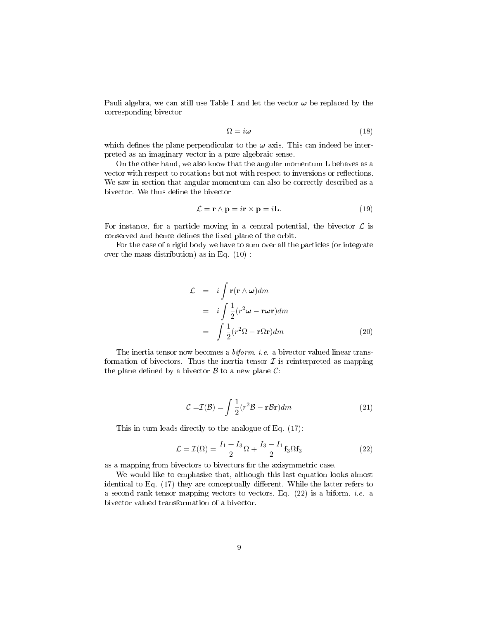Pauli algebra, we can still use Table I and let the vector  $\omega$  be replaced by the corresponding bivector

$$
\Omega = i\omega \tag{18}
$$

which defines the plane perpendicular to the  $\omega$  axis. This can indeed be interpreted as an imaginary vector in a pure algebraic sense.

On the other hand, we also know that the angular momentum  $L$  behaves as a vector with respect to rotations but not with respect to inversions or reflections. We saw in section that angular momentum can also be correctly described as a bivector. We thus define the bivector

$$
\mathcal{L} = \mathbf{r} \wedge \mathbf{p} = i\mathbf{r} \times \mathbf{p} = i\mathbf{L}.\tag{19}
$$

For instance, for a particle moving in a central potential, the bivector  $\mathcal L$  is conserved and hence defines the fixed plane of the orbit.

For the case of a rigid body we have to sum over all the particles (or integrate over the mass distribution) as in Eq. (10) :

$$
\mathcal{L} = i \int \mathbf{r}(\mathbf{r} \wedge \boldsymbol{\omega}) dm
$$
  
=  $i \int \frac{1}{2} (r^2 \boldsymbol{\omega} - \mathbf{r} \omega \mathbf{r}) dm$   
=  $\int \frac{1}{2} (r^2 \Omega - \mathbf{r} \Omega \mathbf{r}) dm$  (20)

The inertia tensor now becomes a *biform*, *i.e.* a bivector valued linear transformation of bivectors. Thus the inertia tensor  $\mathcal I$  is reinterpreted as mapping the plane defined by a bivector  $\mathcal B$  to a new plane  $\mathcal C$ :

$$
\mathcal{C} = \mathcal{I}(\mathcal{B}) = \int \frac{1}{2} (r^2 \mathcal{B} - \mathbf{r} \mathcal{B} \mathbf{r}) dm
$$
 (21)

This in turn leads directly to the analogue of Eq. (17):

$$
\mathcal{L} = \mathcal{I}(\Omega) = \frac{I_1 + I_3}{2} \Omega + \frac{I_3 - I_1}{2} \mathbf{f}_3 \Omega \mathbf{f}_3 \tag{22}
$$

as a mapping from bivectors to bivectors for the axisymmetric case.

We would like to emphasize that, although this last equation looks almost identical to Eq.  $(17)$  they are conceptually different. While the latter refers to a second rank tensor mapping vectors to vectors, Eq.  $(22)$  is a biform, *i.e.* a bivector valued transformation of a bivector.